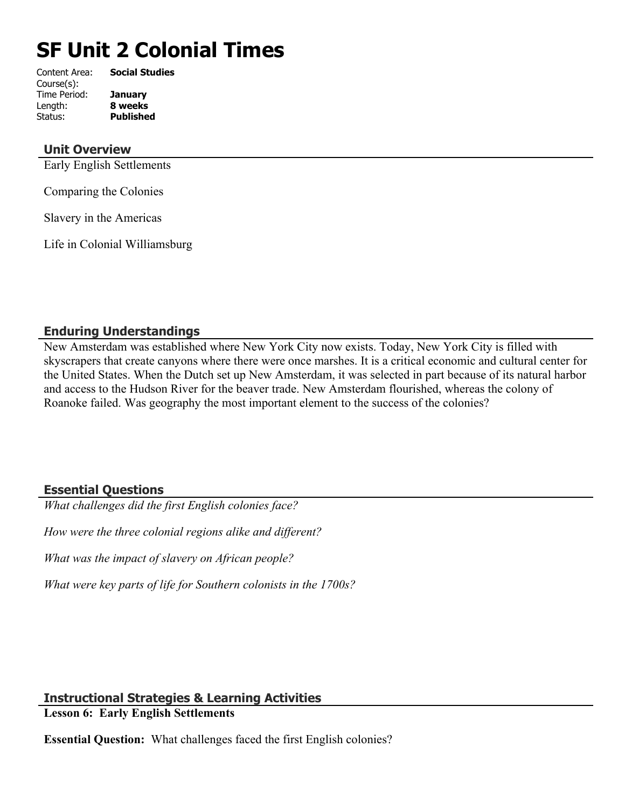# **SF Unit 2 Colonial Times**

| Content Area: | <b>Social Studies</b> |
|---------------|-----------------------|
| Course(s):    |                       |
| Time Period:  | <b>January</b>        |
| Length:       | 8 weeks               |
| Status:       | <b>Published</b>      |
|               |                       |

## **Unit Overview**

Early English Settlements

Comparing the Colonies

Slavery in the Americas

Life in Colonial Williamsburg

# **Enduring Understandings**

New Amsterdam was established where New York City now exists. Today, New York City is filled with skyscrapers that create canyons where there were once marshes. It is a critical economic and cultural center for the United States. When the Dutch set up New Amsterdam, it was selected in part because of its natural harbor and access to the Hudson River for the beaver trade. New Amsterdam flourished, whereas the colony of Roanoke failed. Was geography the most important element to the success of the colonies?

# **Essential Questions**

*What challenges did the first English colonies face?*

*How were the three colonial regions alike and different?*

*What was the impact of slavery on African people?*

*What were key parts of life for Southern colonists in the 1700s?*

# **Instructional Strategies & Learning Activities**

**Lesson 6: Early English Settlements**

**Essential Question:** What challenges faced the first English colonies?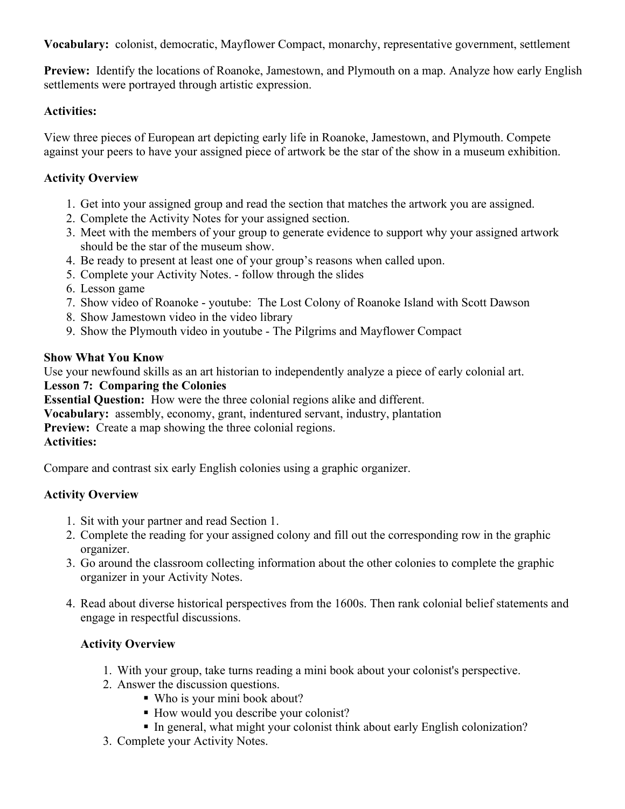**Vocabulary:** colonist, democratic, Mayflower Compact, monarchy, representative government, settlement

**Preview:** Identify the locations of Roanoke, Jamestown, and Plymouth on a map. Analyze how early English settlements were portrayed through artistic expression.

## **Activities:**

View three pieces of European art depicting early life in Roanoke, Jamestown, and Plymouth. Compete against your peers to have your assigned piece of artwork be the star of the show in a museum exhibition.

## **Activity Overview**

- 1. Get into your assigned group and read the section that matches the artwork you are assigned.
- 2. Complete the Activity Notes for your assigned section.
- 3. Meet with the members of your group to generate evidence to support why your assigned artwork should be the star of the museum show.
- 4. Be ready to present at least one of your group's reasons when called upon.
- 5. Complete your Activity Notes. follow through the slides
- 6. Lesson game
- 7. Show video of Roanoke youtube: The Lost Colony of Roanoke Island with Scott Dawson
- 8. Show Jamestown video in the video library
- 9. Show the Plymouth video in youtube The Pilgrims and Mayflower Compact

## **Show What You Know**

Use your newfound skills as an art historian to independently analyze a piece of early colonial art.

### **Lesson 7: Comparing the Colonies**

**Essential Question:** How were the three colonial regions alike and different.

**Vocabulary:** assembly, economy, grant, indentured servant, industry, plantation

**Preview:** Create a map showing the three colonial regions.

### **Activities:**

Compare and contrast six early English colonies using a graphic organizer.

# **Activity Overview**

- 1. Sit with your partner and read Section 1.
- 2. Complete the reading for your assigned colony and fill out the corresponding row in the graphic organizer.
- 3. Go around the classroom collecting information about the other colonies to complete the graphic organizer in your Activity Notes.
- 4. Read about diverse historical perspectives from the 1600s. Then rank colonial belief statements and engage in respectful discussions.

# **Activity Overview**

- 1. With your group, take turns reading a mini book about your colonist's perspective.
- 2. Answer the discussion questions.
	- Who is your mini book about?
	- How would you describe your colonist?
	- In general, what might your colonist think about early English colonization?
- 3. Complete your Activity Notes.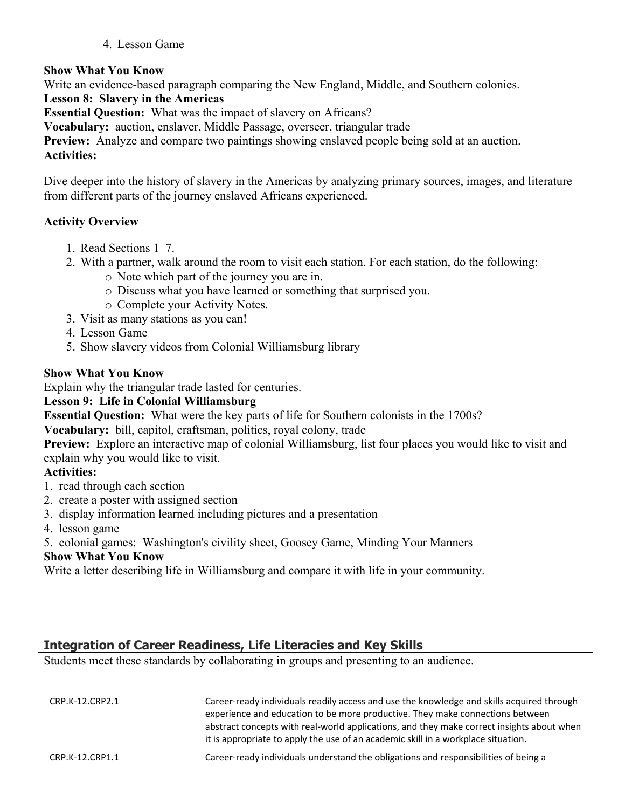### 4. Lesson Game

## **Show What You Know**

Write an evidence-based paragraph comparing the New England, Middle, and Southern colonies.

## **Lesson 8: Slavery in the Americas**

**Essential Question:** What was the impact of slavery on Africans?

**Vocabulary:** auction, enslaver, Middle Passage, overseer, triangular trade

**Preview:** Analyze and compare two paintings showing enslaved people being sold at an auction.

## **Activities:**

Dive deeper into the history of slavery in the Americas by analyzing primary sources, images, and literature from different parts of the journey enslaved Africans experienced.

## **Activity Overview**

- 1. Read Sections 1–7.
- 2. With a partner, walk around the room to visit each station. For each station, do the following:
	- o Note which part of the journey you are in.
	- o Discuss what you have learned or something that surprised you.
	- o Complete your Activity Notes.
- 3. Visit as many stations as you can!
- 4. Lesson Game
- 5. Show slavery videos from Colonial Williamsburg library

## **Show What You Know**

Explain why the triangular trade lasted for centuries.

# **Lesson 9: Life in Colonial Williamsburg**

**Essential Question:** What were the key parts of life for Southern colonists in the 1700s?

**Vocabulary:** bill, capitol, craftsman, politics, royal colony, trade

**Preview:** Explore an interactive map of colonial Williamsburg, list four places you would like to visit and explain why you would like to visit.

# **Activities:**

- 1. read through each section
- 2. create a poster with assigned section
- 3. display information learned including pictures and a presentation
- 4. lesson game
- 5. colonial games: Washington's civility sheet, Goosey Game, Minding Your Manners

# **Show What You Know**

Write a letter describing life in Williamsburg and compare it with life in your community.

# **Integration of Career Readiness, Life Literacies and Key Skills**

Students meet these standards by collaborating in groups and presenting to an audience.

| CRP.K-12.CRP2.1 | Career-ready individuals readily access and use the knowledge and skills acquired through<br>experience and education to be more productive. They make connections between<br>abstract concepts with real-world applications, and they make correct insights about when<br>it is appropriate to apply the use of an academic skill in a workplace situation. |
|-----------------|--------------------------------------------------------------------------------------------------------------------------------------------------------------------------------------------------------------------------------------------------------------------------------------------------------------------------------------------------------------|
| CRP.K-12.CRP1.1 | Career-ready individuals understand the obligations and responsibilities of being a                                                                                                                                                                                                                                                                          |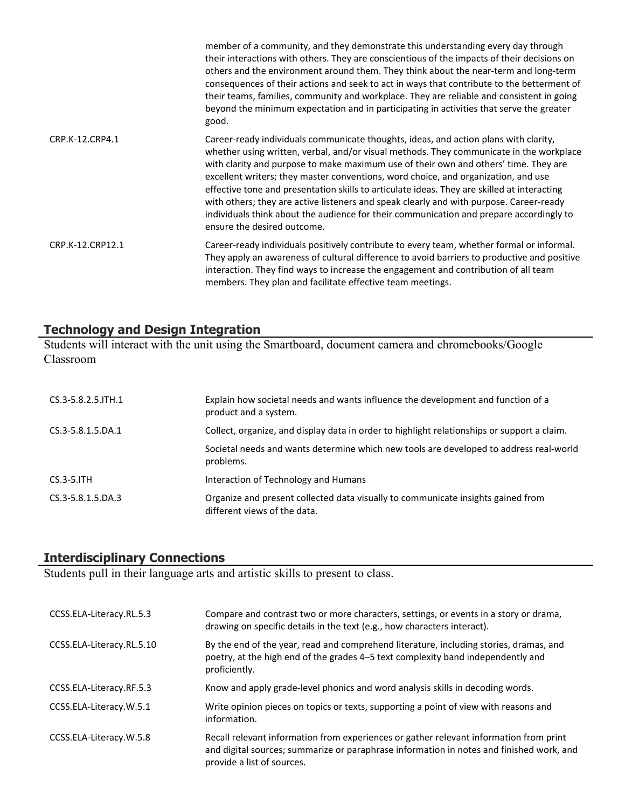|                  | member of a community, and they demonstrate this understanding every day through<br>their interactions with others. They are conscientious of the impacts of their decisions on<br>others and the environment around them. They think about the near-term and long-term<br>consequences of their actions and seek to act in ways that contribute to the betterment of<br>their teams, families, community and workplace. They are reliable and consistent in going<br>beyond the minimum expectation and in participating in activities that serve the greater<br>good.                                                                                                           |
|------------------|-----------------------------------------------------------------------------------------------------------------------------------------------------------------------------------------------------------------------------------------------------------------------------------------------------------------------------------------------------------------------------------------------------------------------------------------------------------------------------------------------------------------------------------------------------------------------------------------------------------------------------------------------------------------------------------|
| CRP.K-12.CRP4.1  | Career-ready individuals communicate thoughts, ideas, and action plans with clarity,<br>whether using written, verbal, and/or visual methods. They communicate in the workplace<br>with clarity and purpose to make maximum use of their own and others' time. They are<br>excellent writers; they master conventions, word choice, and organization, and use<br>effective tone and presentation skills to articulate ideas. They are skilled at interacting<br>with others; they are active listeners and speak clearly and with purpose. Career-ready<br>individuals think about the audience for their communication and prepare accordingly to<br>ensure the desired outcome. |
| CRP.K-12.CRP12.1 | Career-ready individuals positively contribute to every team, whether formal or informal.<br>They apply an awareness of cultural difference to avoid barriers to productive and positive<br>interaction. They find ways to increase the engagement and contribution of all team<br>members. They plan and facilitate effective team meetings.                                                                                                                                                                                                                                                                                                                                     |

### **Technology and Design Integration**

Students will interact with the unit using the Smartboard, document camera and chromebooks/Google Classroom

| CS.3-5.8.2.5.ITH.1 | Explain how societal needs and wants influence the development and function of a<br>product and a system.        |
|--------------------|------------------------------------------------------------------------------------------------------------------|
| CS.3-5.8.1.5.DA.1  | Collect, organize, and display data in order to highlight relationships or support a claim.                      |
|                    | Societal needs and wants determine which new tools are developed to address real-world<br>problems.              |
| $CS.3-5.$ ITH      | Interaction of Technology and Humans                                                                             |
| CS.3-5.8.1.5.DA.3  | Organize and present collected data visually to communicate insights gained from<br>different views of the data. |

# **Interdisciplinary Connections**

Students pull in their language arts and artistic skills to present to class.

| CCSS.ELA-Literacy.RL.5.3  | Compare and contrast two or more characters, settings, or events in a story or drama,<br>drawing on specific details in the text (e.g., how characters interact).                                                |
|---------------------------|------------------------------------------------------------------------------------------------------------------------------------------------------------------------------------------------------------------|
| CCSS.ELA-Literacy.RL.5.10 | By the end of the year, read and comprehend literature, including stories, dramas, and<br>poetry, at the high end of the grades 4-5 text complexity band independently and<br>proficiently.                      |
| CCSS.ELA-Literacy.RF.5.3  | Know and apply grade-level phonics and word analysis skills in decoding words.                                                                                                                                   |
| CCSS.ELA-Literacy.W.5.1   | Write opinion pieces on topics or texts, supporting a point of view with reasons and<br>information.                                                                                                             |
| CCSS.ELA-Literacy.W.5.8   | Recall relevant information from experiences or gather relevant information from print<br>and digital sources; summarize or paraphrase information in notes and finished work, and<br>provide a list of sources. |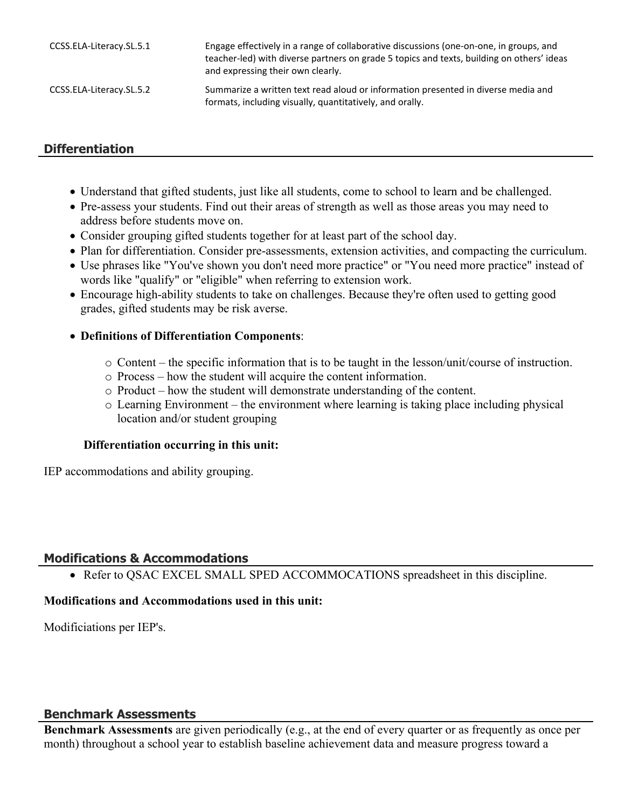| CCSS.ELA-Literacy.SL.5.1 | Engage effectively in a range of collaborative discussions (one-on-one, in groups, and<br>teacher-led) with diverse partners on grade 5 topics and texts, building on others' ideas<br>and expressing their own clearly. |
|--------------------------|--------------------------------------------------------------------------------------------------------------------------------------------------------------------------------------------------------------------------|
| CCSS.ELA-Literacy.SL.5.2 | Summarize a written text read aloud or information presented in diverse media and<br>formats, including visually, quantitatively, and orally.                                                                            |

# **Differentiation**

- Understand that gifted students, just like all students, come to school to learn and be challenged.
- Pre-assess your students. Find out their areas of strength as well as those areas you may need to address before students move on.
- Consider grouping gifted students together for at least part of the school day.
- Plan for differentiation. Consider pre-assessments, extension activities, and compacting the curriculum.
- Use phrases like "You've shown you don't need more practice" or "You need more practice" instead of words like "qualify" or "eligible" when referring to extension work.
- Encourage high-ability students to take on challenges. Because they're often used to getting good grades, gifted students may be risk averse.
- **Definitions of Differentiation Components**:
	- o Content the specific information that is to be taught in the lesson/unit/course of instruction.
	- o Process how the student will acquire the content information.
	- o Product how the student will demonstrate understanding of the content.
	- o Learning Environment the environment where learning is taking place including physical location and/or student grouping

### **Differentiation occurring in this unit:**

IEP accommodations and ability grouping.

### **Modifications & Accommodations**

• Refer to OSAC EXCEL SMALL SPED ACCOMMOCATIONS spreadsheet in this discipline.

### **Modifications and Accommodations used in this unit:**

Modificiations per IEP's.

### **Benchmark Assessments**

**Benchmark Assessments** are given periodically (e.g., at the end of every quarter or as frequently as once per month) throughout a school year to establish baseline achievement data and measure progress toward a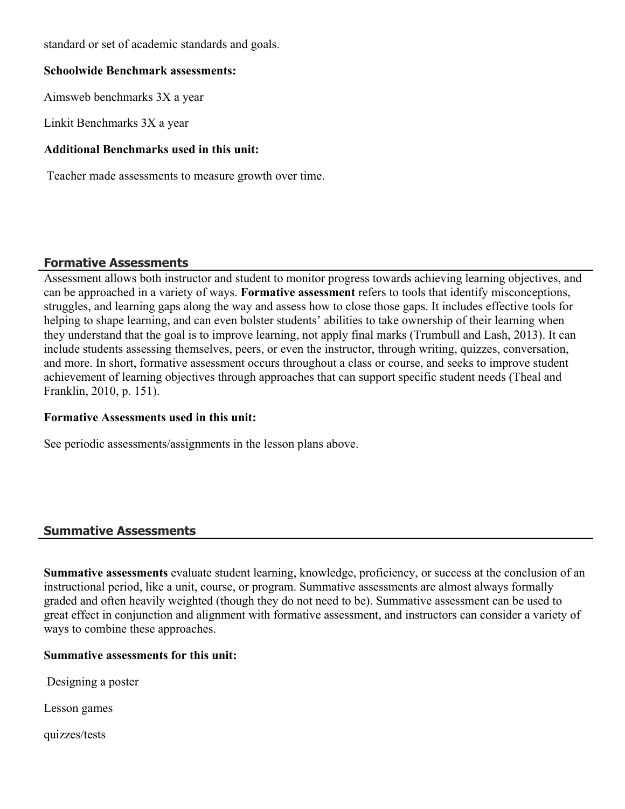standard or set of academic standards and goals.

#### **Schoolwide Benchmark assessments:**

Aimsweb benchmarks 3X a year

Linkit Benchmarks 3X a year

### **Additional Benchmarks used in this unit:**

Teacher made assessments to measure growth over time.

# **Formative Assessments**

Assessment allows both instructor and student to monitor progress towards achieving learning objectives, and can be approached in a variety of ways. **Formative assessment** refers to tools that identify misconceptions, struggles, and learning gaps along the way and assess how to close those gaps. It includes effective tools for helping to shape learning, and can even bolster students' abilities to take ownership of their learning when they understand that the goal is to improve learning, not apply final marks (Trumbull and Lash, 2013). It can include students assessing themselves, peers, or even the instructor, through writing, quizzes, conversation, and more. In short, formative assessment occurs throughout a class or course, and seeks to improve student achievement of learning objectives through approaches that can support specific student needs (Theal and Franklin, 2010, p. 151).

### **Formative Assessments used in this unit:**

See periodic assessments/assignments in the lesson plans above.

### **Summative Assessments**

**Summative assessments** evaluate student learning, knowledge, proficiency, or success at the conclusion of an instructional period, like a unit, course, or program. Summative assessments are almost always formally graded and often heavily weighted (though they do not need to be). Summative assessment can be used to great effect in conjunction and alignment with formative assessment, and instructors can consider a variety of ways to combine these approaches.

### **Summative assessments for this unit:**

Designing a poster

Lesson games

quizzes/tests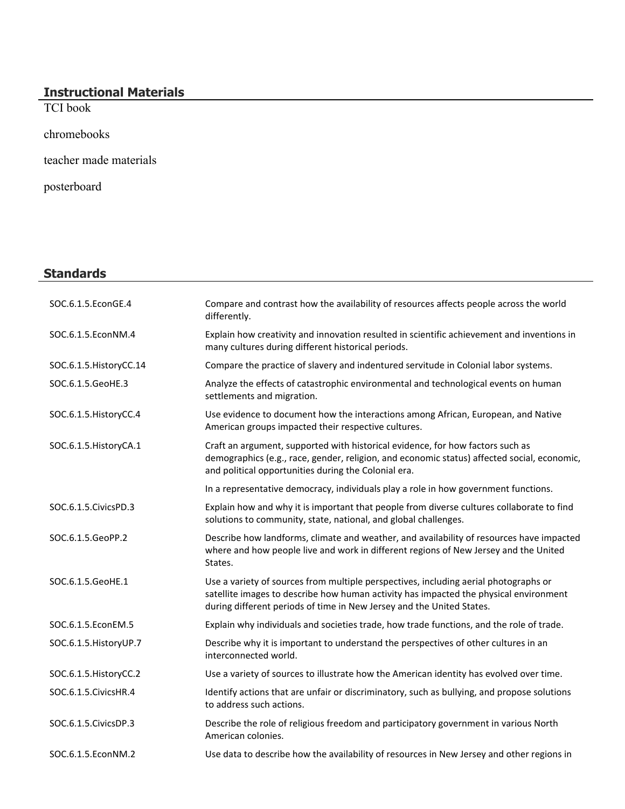#### **Instructional Materials**

TCI book

chromebooks

teacher made materials

posterboard

# **Standards**

| SOC.6.1.5.EconGE.4      | Compare and contrast how the availability of resources affects people across the world<br>differently.                                                                                                                                                 |
|-------------------------|--------------------------------------------------------------------------------------------------------------------------------------------------------------------------------------------------------------------------------------------------------|
| SOC.6.1.5.EconNM.4      | Explain how creativity and innovation resulted in scientific achievement and inventions in<br>many cultures during different historical periods.                                                                                                       |
| SOC.6.1.5. HistoryCC.14 | Compare the practice of slavery and indentured servitude in Colonial labor systems.                                                                                                                                                                    |
| SOC.6.1.5.GeoHE.3       | Analyze the effects of catastrophic environmental and technological events on human<br>settlements and migration.                                                                                                                                      |
| SOC.6.1.5. HistoryCC.4  | Use evidence to document how the interactions among African, European, and Native<br>American groups impacted their respective cultures.                                                                                                               |
| SOC.6.1.5. HistoryCA.1  | Craft an argument, supported with historical evidence, for how factors such as<br>demographics (e.g., race, gender, religion, and economic status) affected social, economic,<br>and political opportunities during the Colonial era.                  |
|                         | In a representative democracy, individuals play a role in how government functions.                                                                                                                                                                    |
| SOC.6.1.5.CivicsPD.3    | Explain how and why it is important that people from diverse cultures collaborate to find<br>solutions to community, state, national, and global challenges.                                                                                           |
| SOC.6.1.5.GeoPP.2       | Describe how landforms, climate and weather, and availability of resources have impacted<br>where and how people live and work in different regions of New Jersey and the United<br>States.                                                            |
| SOC.6.1.5.GeoHE.1       | Use a variety of sources from multiple perspectives, including aerial photographs or<br>satellite images to describe how human activity has impacted the physical environment<br>during different periods of time in New Jersey and the United States. |
| SOC.6.1.5.EconEM.5      | Explain why individuals and societies trade, how trade functions, and the role of trade.                                                                                                                                                               |
| SOC.6.1.5. HistoryUP.7  | Describe why it is important to understand the perspectives of other cultures in an<br>interconnected world.                                                                                                                                           |
| SOC.6.1.5. HistoryCC.2  | Use a variety of sources to illustrate how the American identity has evolved over time.                                                                                                                                                                |
| SOC.6.1.5. Civics HR.4  | Identify actions that are unfair or discriminatory, such as bullying, and propose solutions<br>to address such actions.                                                                                                                                |
| SOC.6.1.5. Civics DP.3  | Describe the role of religious freedom and participatory government in various North<br>American colonies.                                                                                                                                             |
| SOC.6.1.5.EconNM.2      | Use data to describe how the availability of resources in New Jersey and other regions in                                                                                                                                                              |